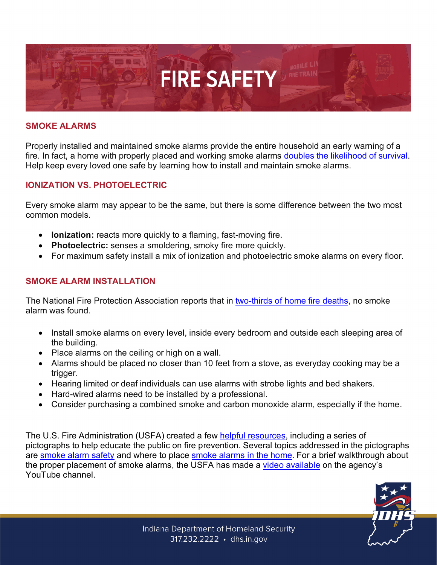

### **SMOKE ALARMS**

Properly installed and maintained smoke alarms provide the entire household an early warning of a fire. In fact, a home with properly placed and working smoke alarms doubles [the likelihood of survival.](https://www.usfa.fema.gov/prevention/outreach/smoke_alarms.html) Help keep every loved one safe by learning how to install and maintain smoke alarms.

### **IONIZATION VS. PHOTOELECTRIC**

Every smoke alarm may appear to be the same, but there is some difference between the two most common models.

- **Ionization:** reacts more quickly to a flaming, fast-moving fire.
- **Photoelectric:** senses a smoldering, smoky fire more quickly.
- For maximum safety install a mix of ionization and photoelectric smoke alarms on every floor.

### **SMOKE ALARM INSTALLATION**

The National Fire Protection Association reports that in [two-thirds of home fire deaths,](https://www.nfpa.org/News-and-Research/Data-research-and-tools/Detection-and-Signaling/Smoke-Alarms-in-US-Home-Fires) no smoke alarm was found.

- Install smoke alarms on every level, inside every bedroom and outside each sleeping area of the building.
- Place alarms on the ceiling or high on a wall.
- Alarms should be placed no closer than 10 feet from a stove, as everyday cooking may be a trigger.
- Hearing limited or deaf individuals can use alarms with strobe lights and bed shakers.
- Hard-wired alarms need to be installed by a professional.
- Consider purchasing a combined smoke and carbon monoxide alarm, especially if the home.

The U.S. Fire Administration (USFA) created a few [helpful resources,](https://www.usfa.fema.gov/prevention/outreach/media/pictographs/index.html) including a series of pictographs to help educate the public on fire prevention. Several topics addressed in the pictographs are [smoke alarm](https://www.usfa.fema.gov/prevention/outreach/media/pictographs/smoke_alarms.html) safety and where to place [smoke alarms in the home.](https://www.usfa.fema.gov/prevention/outreach/media/pictographs/pictograph01.html) For a brief walkthrough about the proper placement of smoke alarms, the USFA has made a [video available](https://www.youtube.com/watch?v=43k4hjjAU1w&feature=youtu.be) on the agency's YouTube channel.